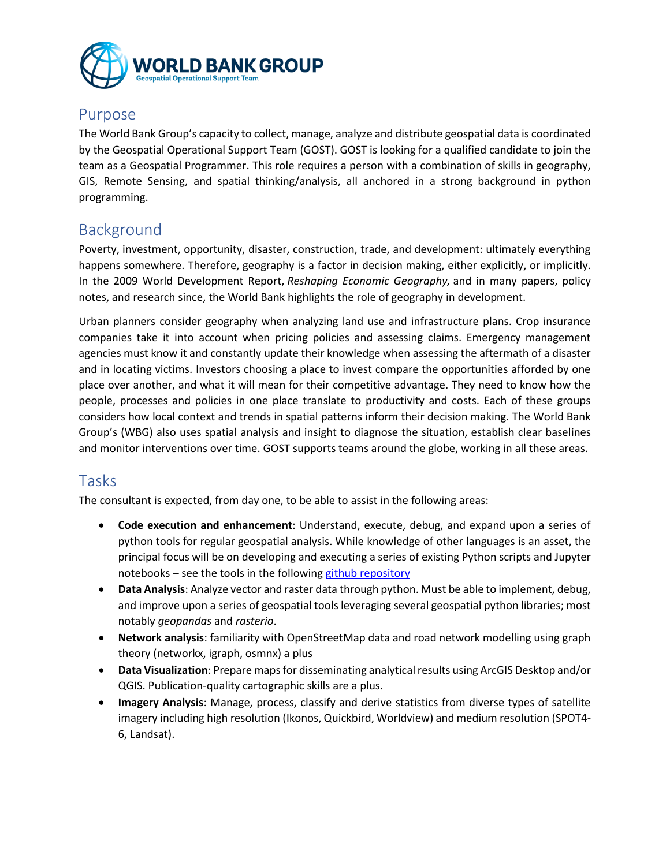

#### Purpose

The World Bank Group's capacity to collect, manage, analyze and distribute geospatial data is coordinated by the Geospatial Operational Support Team (GOST). GOST is looking for a qualified candidate to join the team as a Geospatial Programmer. This role requires a person with a combination of skills in geography, GIS, Remote Sensing, and spatial thinking/analysis, all anchored in a strong background in python programming.

# Background

Poverty, investment, opportunity, disaster, construction, trade, and development: ultimately everything happens somewhere. Therefore, geography is a factor in decision making, either explicitly, or implicitly. In the 2009 World Development Report, *Reshaping Economic Geography,* and in many papers, policy notes, and research since, the World Bank highlights the role of geography in development.

Urban planners consider geography when analyzing land use and infrastructure plans. Crop insurance companies take it into account when pricing policies and assessing claims. Emergency management agencies must know it and constantly update their knowledge when assessing the aftermath of a disaster and in locating victims. Investors choosing a place to invest compare the opportunities afforded by one place over another, and what it will mean for their competitive advantage. They need to know how the people, processes and policies in one place translate to productivity and costs. Each of these groups considers how local context and trends in spatial patterns inform their decision making. The World Bank Group's (WBG) also uses spatial analysis and insight to diagnose the situation, establish clear baselines and monitor interventions over time. GOST supports teams around the globe, working in all these areas.

## Tasks

The consultant is expected, from day one, to be able to assist in the following areas:

- **Code execution and enhancement**: Understand, execute, debug, and expand upon a series of python tools for regular geospatial analysis. While knowledge of other languages is an asset, the principal focus will be on developing and executing a series of existing Python scripts and Jupyter notebooks – see the tools in the followin[g github repository](https://github.com/worldbank/GOST_PublicGoods)
- **Data Analysis**: Analyze vector and raster data through python. Must be able to implement, debug, and improve upon a series of geospatial tools leveraging several geospatial python libraries; most notably *geopandas* and *rasterio*.
- **Network analysis**: familiarity with OpenStreetMap data and road network modelling using graph theory (networkx, igraph, osmnx) a plus
- **Data Visualization**: Prepare maps for disseminating analytical results using ArcGIS Desktop and/or QGIS. Publication-quality cartographic skills are a plus.
- **Imagery Analysis**: Manage, process, classify and derive statistics from diverse types of satellite imagery including high resolution (Ikonos, Quickbird, Worldview) and medium resolution (SPOT4- 6, Landsat).